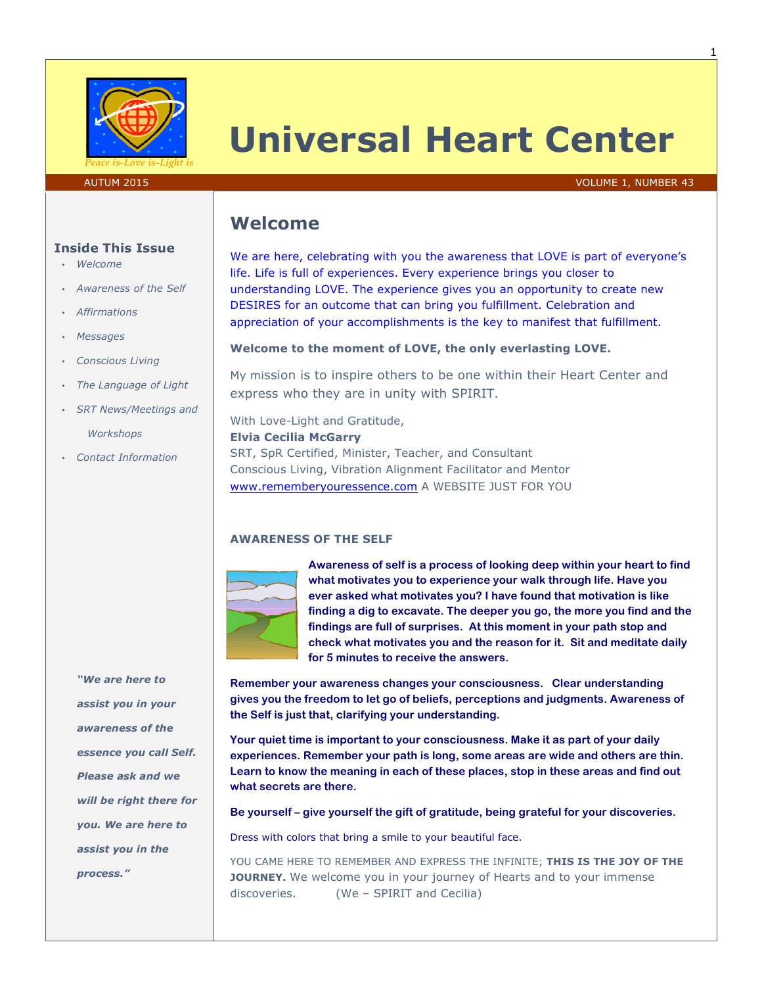

# **Universal Heart Center**

#### AUTUM 2015 VOLUME 1, NUMBER 43

# **Welcome**

We are here, celebrating with you the awareness that LOVE is part of everyone's life. Life is full of experiences. Every experience brings you closer to understanding LOVE. The experience gives you an opportunity to create new DESIRES for an outcome that can bring you fulfillment. Celebration and appreciation of your accomplishments is the key to manifest that fulfillment.

#### **Welcome to the moment of LOVE, the only everlasting LOVE.**

My mission is to inspire others to be one within their Heart Center and express who they are in unity with SPIRIT.

With Love-Light and Gratitude,

#### **Elvia Cecilia McGarry**

SRT, SpR Certified, Minister, Teacher, and Consultant Conscious Living, Vibration Alignment Facilitator and Mentor www.rememberyouressence.com A WEBSITE JUST FOR YOU

#### **AWARENESS OF THE SELF**



**Awareness of self is a process of looking deep within your heart to find what motivates you to experience your walk through life. Have you ever asked what motivates you? I have found that motivation is like finding a dig to excavate. The deeper you go, the more you find and the findings are full of surprises. At this moment in your path stop and check what motivates you and the reason for it. Sit and meditate daily for 5 minutes to receive the answers.**

**Remember your awareness changes your consciousness. Clear understanding gives you the freedom to let go of beliefs, perceptions and judgments. Awareness of the Self is just that, clarifying your understanding.**

**Your quiet time is important to your consciousness. Make it as part of your daily experiences. Remember your path is long, some areas are wide and others are thin. Learn to know the meaning in each of these places, stop in these areas and find out what secrets are there.**

**Be yourself – give yourself the gift of gratitude, being grateful for your discoveries.**

Dress with colors that bring a smile to your beautiful face.

YOU CAME HERE TO REMEMBER AND EXPRESS THE INFINITE; **THIS IS THE JOY OF THE JOURNEY.** We welcome you in your journey of Hearts and to your immense discoveries. (We – SPIRIT and Cecilia)

#### **Inside This Issue**

- *Welcome*
- *Awareness of the Self*
- *Affirmations*
- *Messages*
- *Conscious Living*
- *The Language of Light*
- *SRT News/Meetings and Workshops*
- *Contact Information*

*"We are here to assist you in your awareness of the essence you call Self. Please ask and we will be right there for you. We are here to assist you in the process."*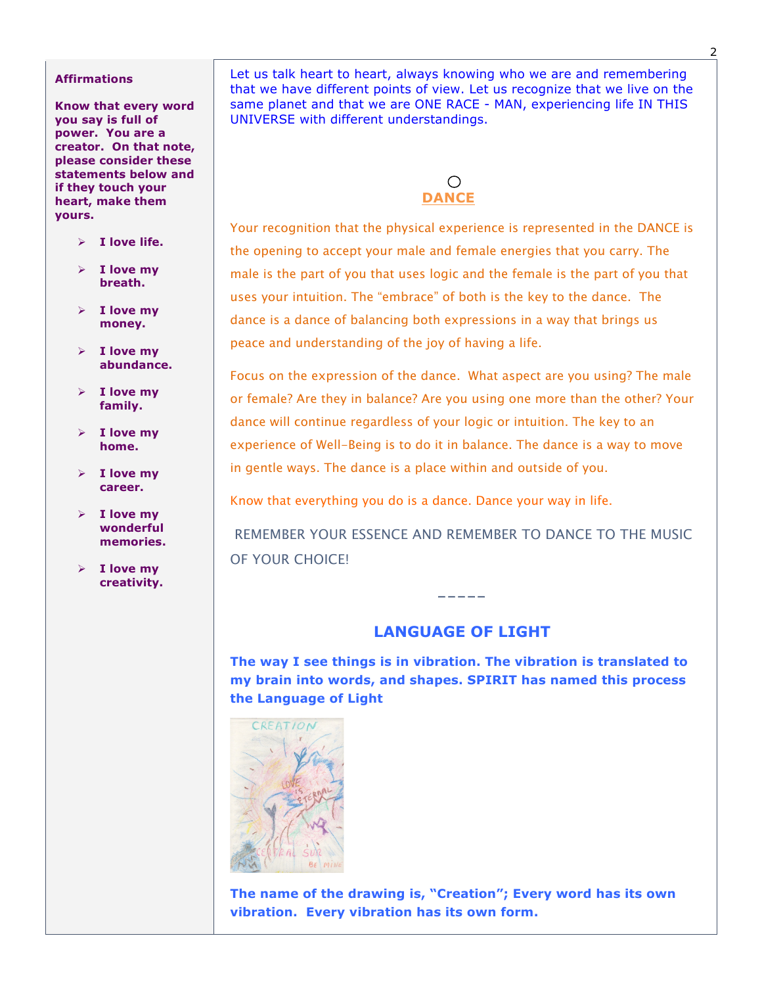#### **Affirmations**

**Know that every word you say is full of power. You are a creator. On that note, please consider these statements below and if they touch your heart, make them yours.**

- $\triangleright$  **I** love life.
- $\triangleright$  **I love mv breath.**
- $\triangleright$  **I love mv money.**
- $\triangleright$  **I love my abundance.**
- $\triangleright$  **I love my family.**
- $\triangleright$  **I love my home.**
- $\triangleright$  **I love my career.**
- $\triangleright$  **I love my wonderful memories.**
- $\triangleright$  **I love my creativity.**

Let us talk heart to heart, always knowing who we are and remembering that we have different points of view. Let us recognize that we live on the same planet and that we are ONE RACE - MAN, experiencing life IN THIS UNIVERSE with different understandings.



Your recognition that the physical experience is represented in the DANCE is the opening to accept your male and female energies that you carry. The male is the part of you that uses logic and the female is the part of you that uses your intuition. The "embrace" of both is the key to the dance. The dance is a dance of balancing both expressions in a way that brings us peace and understanding of the joy of having a life.

Focus on the expression of the dance. What aspect are you using? The male or female? Are they in balance? Are you using one more than the other? Your dance will continue regardless of your logic or intuition. The key to an experience of Well-Being is to do it in balance. The dance is a way to move in gentle ways. The dance is a place within and outside of you.

Know that everything you do is a dance. Dance your way in life.

REMEMBER YOUR ESSENCE AND REMEMBER TO DANCE TO THE MUSIC OF YOUR CHOICE!

## **LANGUAGE OF LIGHT**

-----

**The way I see things is in vibration. The vibration is translated to my brain into words, and shapes. SPIRIT has named this process the Language of Light**



**The name of the drawing is, "Creation"; Every word has its own vibration. Every vibration has its own form.**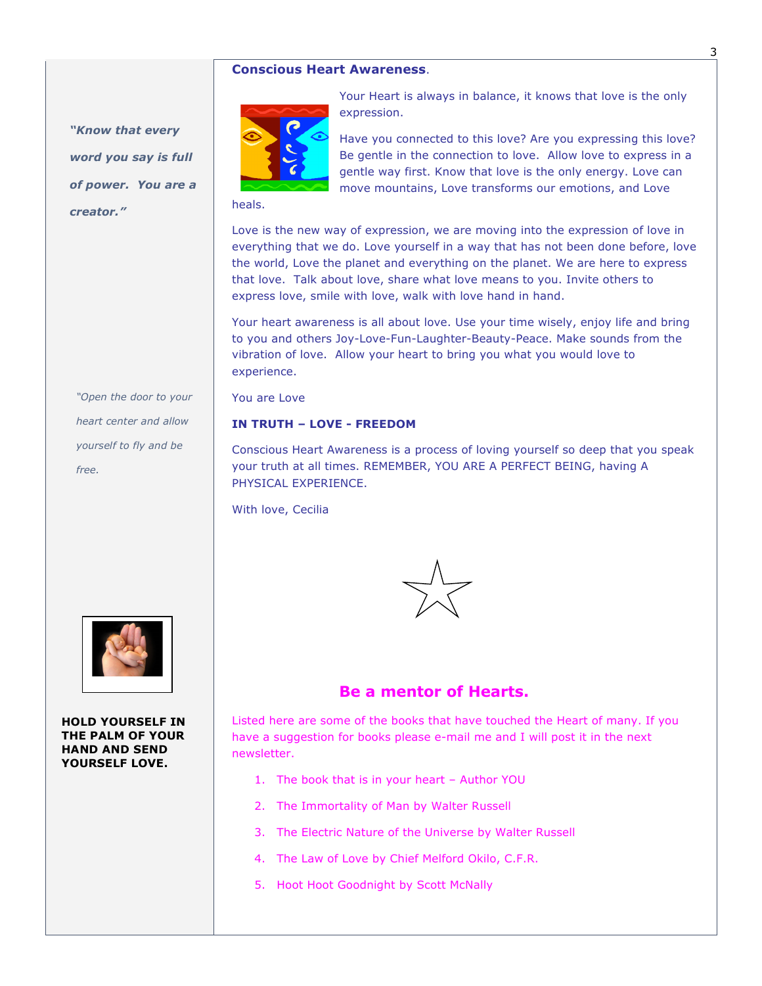#### **Conscious Heart Awareness**.

*"Know that every word you say is full of power. You are a creator."*



Your Heart is always in balance, it knows that love is the only expression.

Have you connected to this love? Are you expressing this love? Be gentle in the connection to love. Allow love to express in a gentle way first. Know that love is the only energy. Love can move mountains, Love transforms our emotions, and Love

heals.

Love is the new way of expression, we are moving into the expression of love in everything that we do. Love yourself in a way that has not been done before, love the world, Love the planet and everything on the planet. We are here to express that love. Talk about love, share what love means to you. Invite others to express love, smile with love, walk with love hand in hand.

Your heart awareness is all about love. Use your time wisely, enjoy life and bring to you and others Joy-Love-Fun-Laughter-Beauty-Peace. Make sounds from the vibration of love. Allow your heart to bring you what you would love to experience.

You are Love

#### **IN TRUTH – LOVE - FREEDOM**

Conscious Heart Awareness is a process of loving yourself so deep that you speak your truth at all times. REMEMBER, YOU ARE A PERFECT BEING, having A PHYSICAL EXPERIENCE.

With love, Cecilia



**HOLD YOURSELF IN THE PALM OF YOUR HAND AND SEND YOURSELF LOVE.** 



## **Be a mentor of Hearts.**

Listed here are some of the books that have touched the Heart of many. If you have a suggestion for books please e-mail me and I will post it in the next newsletter.

- 1. The book that is in your heart Author YOU
- 2. The Immortality of Man by Walter Russell
- 3. The Electric Nature of the Universe by Walter Russell
- 4. The Law of Love by Chief Melford Okilo, C.F.R.
- 5. Hoot Hoot Goodnight by Scott McNally

3

*"Open the door to your heart center and allow yourself to fly and be free.*